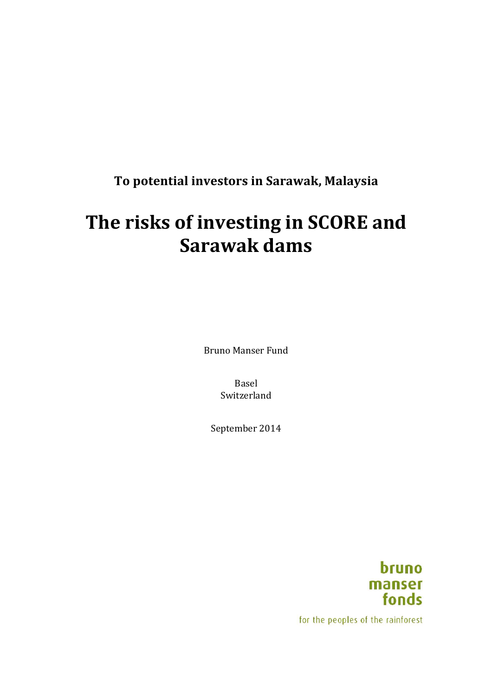**To potential investors in Sarawak, Malaysia** 

# The risks of investing in SCORE and **Sarawak dams**

Bruno Manser Fund

Basel Switzerland

September 2014



for the peoples of the rainforest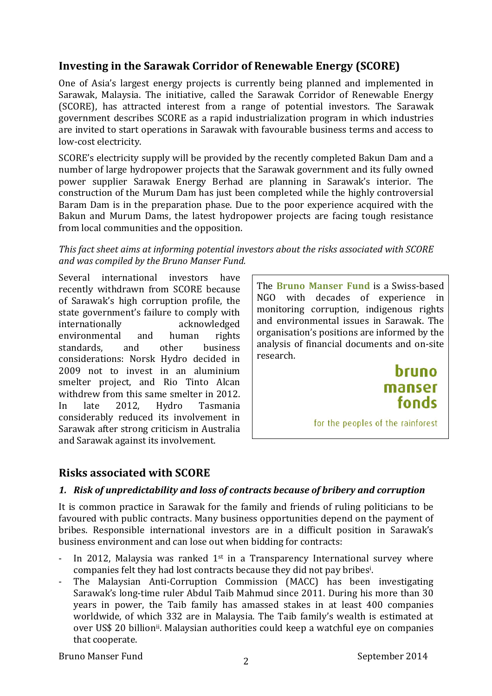# **Investing in the Sarawak Corridor of Renewable Energy (SCORE)**

One of Asia's largest energy projects is currently being planned and implemented in Sarawak, Malaysia. The initiative, called the Sarawak Corridor of Renewable Energy (SCORE), has attracted interest from a range of potential investors. The Sarawak government describes SCORE as a rapid industrialization program in which industries are invited to start operations in Sarawak with favourable business terms and access to low-cost electricity.

SCORE's electricity supply will be provided by the recently completed Bakun Dam and a number of large hydropower projects that the Sarawak government and its fully owned power supplier Sarawak Energy Berhad are planning in Sarawak's interior. The construction of the Murum Dam has just been completed while the highly controversial Baram Dam is in the preparation phase. Due to the poor experience acquired with the Bakun and Murum Dams, the latest hydropower projects are facing tough resistance from local communities and the opposition.

#### This fact sheet aims at informing potential investors about the risks associated with SCORE and was compiled by the Bruno Manser Fund.

Several international investors have recently withdrawn from SCORE because of Sarawak's high corruption profile, the state government's failure to comply with internationally acknowledged environmental and human rights standards, and other business considerations: Norsk Hydro decided in 2009 not to invest in an aluminium smelter project, and Rio Tinto Alcan withdrew from this same smelter in 2012. In late 2012, Hydro Tasmania considerably reduced its involvement in Sarawak after strong criticism in Australia and Sarawak against its involvement.

**The Bruno Manser Fund** is a Swiss-based NGO with decades of experience in monitoring corruption, indigenous rights and environmental issues in Sarawak. The organisation's positions are informed by the analysis of financial documents and on-site research. 

> **bruno** manser fonds

for the peoples of the rainforest

# **Risks associated with SCORE**

### *1. Risk of unpredictability and loss of contracts because of bribery and corruption*

It is common practice in Sarawak for the family and friends of ruling politicians to be favoured with public contracts. Many business opportunities depend on the payment of bribes. Responsible international investors are in a difficult position in Sarawak's business environment and can lose out when bidding for contracts:

- In 2012, Malaysia was ranked  $1<sup>st</sup>$  in a Transparency International survey where companies felt they had lost contracts because they did not pay bribes<sup>i</sup>.
- The Malaysian Anti-Corruption Commission (MACC) has been investigating Sarawak's long-time ruler Abdul Taib Mahmud since 2011. During his more than 30 years in power, the Taib family has amassed stakes in at least 400 companies worldwide, of which 332 are in Malaysia. The Taib family's wealth is estimated at over US\$ 20 billion<sup>ii</sup>. Malaysian authorities could keep a watchful eye on companies that cooperate.

Bruno Manser Fund 2014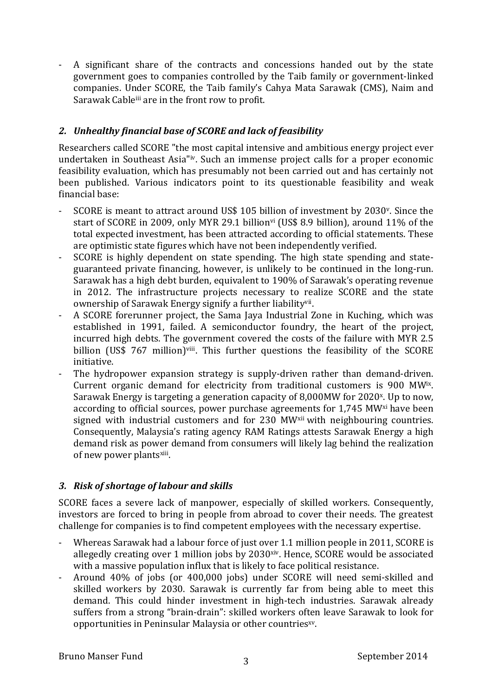A significant share of the contracts and concessions handed out by the state government goes to companies controlled by the Taib family or government-linked companies. Under SCORE, the Taib family's Cahya Mata Sarawak (CMS), Naim and Sarawak Cableiii are in the front row to profit.

## *2. Unhealthy financial base of SCORE and lack of feasibility*

Researchers called SCORE "the most capital intensive and ambitious energy project ever undertaken in Southeast Asia"<sup>iv</sup>. Such an immense project calls for a proper economic feasibility evaluation, which has presumably not been carried out and has certainly not been published. Various indicators point to its questionable feasibility and weak financial base:

- SCORE is meant to attract around US\$ 105 billion of investment by 2030<sup>v</sup>. Since the start of SCORE in 2009, only MYR 29.1 billion<sup>vi</sup> (US\$ 8.9 billion), around 11% of the total expected investment, has been attracted according to official statements. These are optimistic state figures which have not been independently verified.
- SCORE is highly dependent on state spending. The high state spending and stateguaranteed private financing, however, is unlikely to be continued in the long-run. Sarawak has a high debt burden, equivalent to 190% of Sarawak's operating revenue in 2012. The infrastructure projects necessary to realize SCORE and the state ownership of Sarawak Energy signify a further liability<sup>vii</sup>.
- A SCORE forerunner project, the Sama Jaya Industrial Zone in Kuching, which was established in 1991, failed. A semiconductor foundry, the heart of the project, incurred high debts. The government covered the costs of the failure with MYR 2.5 billion (US\$ 767 million)viii. This further questions the feasibility of the SCORE initiative.
- The hydropower expansion strategy is supply-driven rather than demand-driven. Current organic demand for electricity from traditional customers is 900 MW<sup>IX</sup>. Sarawak Energy is targeting a generation capacity of  $8,000MW$  for  $2020<sup>x</sup>$ . Up to now, according to official sources, power purchase agreements for 1,745 MW<sup>xi</sup> have been signed with industrial customers and for 230 MW<sup>xii</sup> with neighbouring countries. Consequently, Malaysia's rating agency RAM Ratings attests Sarawak Energy a high demand risk as power demand from consumers will likely lag behind the realization of new power plantsxiii.

### *3. Risk of shortage of labour and skills*

SCORE faces a severe lack of manpower, especially of skilled workers, Consequently, investors are forced to bring in people from abroad to cover their needs. The greatest challenge for companies is to find competent employees with the necessary expertise.

- Whereas Sarawak had a labour force of just over 1.1 million people in 2011, SCORE is allegedly creating over 1 million jobs by  $2030<sup>xiv</sup>$ . Hence, SCORE would be associated with a massive population influx that is likely to face political resistance.
- Around 40% of jobs (or 400,000 jobs) under SCORE will need semi-skilled and skilled workers by 2030. Sarawak is currently far from being able to meet this demand. This could hinder investment in high-tech industries. Sarawak already suffers from a strong "brain-drain": skilled workers often leave Sarawak to look for opportunities in Peninsular Malaysia or other countries<sup>xy</sup>.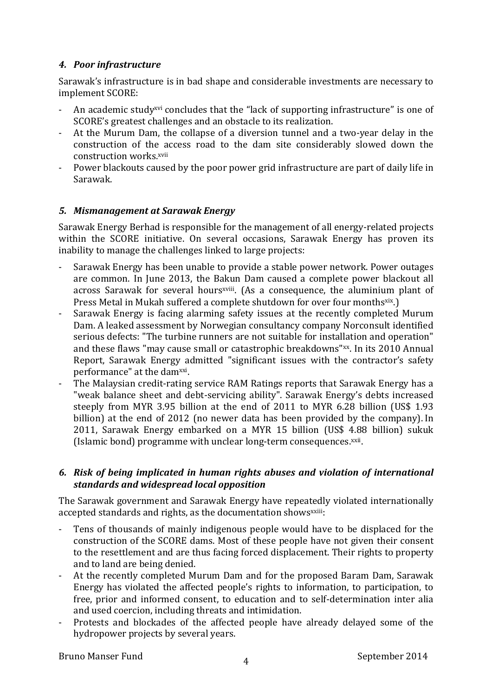#### *4. Poor infrastructure*

Sarawak's infrastructure is in bad shape and considerable investments are necessary to implement SCORE:

- An academic study<sup>xvi</sup> concludes that the "lack of supporting infrastructure" is one of SCORE's greatest challenges and an obstacle to its realization.
- At the Murum Dam, the collapse of a diversion tunnel and a two-year delay in the construction of the access road to the dam site considerably slowed down the construction works.xvii
- Power blackouts caused by the poor power grid infrastructure are part of daily life in Sarawak.

#### *5. Mismanagement at Sarawak Energy*

Sarawak Energy Berhad is responsible for the management of all energy-related projects within the SCORE initiative. On several occasions, Sarawak Energy has proven its inability to manage the challenges linked to large projects:

- Sarawak Energy has been unable to provide a stable power network. Power outages are common. In June 2013, the Bakun Dam caused a complete power blackout all across Sarawak for several hours<sup>xviii</sup>. (As a consequence, the aluminium plant of Press Metal in Mukah suffered a complete shutdown for over four monthsxix.)
- Sarawak Energy is facing alarming safety issues at the recently completed Murum Dam. A leaked assessment by Norwegian consultancy company Norconsult identified serious defects: "The turbine runners are not suitable for installation and operation" and these flaws "may cause small or catastrophic breakdowns"xx. In its 2010 Annual Report, Sarawak Energy admitted "significant issues with the contractor's safety performance" at the dam<sup>xxi</sup>.
- The Malaysian credit-rating service RAM Ratings reports that Sarawak Energy has a "weak balance sheet and debt-servicing ability". Sarawak Energy's debts increased steeply from MYR 3.95 billion at the end of 2011 to MYR 6.28 billion (US\$ 1.93 billion) at the end of 2012 (no newer data has been provided by the company). In 2011, Sarawak Energy embarked on a MYR 15 billion (US\$ 4.88 billion) sukuk (Islamic bond) programme with unclear long-term consequences.xxii.

#### *6. Risk of being implicated in human rights abuses and violation of international standards and widespread local opposition*

The Sarawak government and Sarawak Energy have repeatedly violated internationally accepted standards and rights, as the documentation shows<sup>xxiii</sup>:

- Tens of thousands of mainly indigenous people would have to be displaced for the construction of the SCORE dams. Most of these people have not given their consent to the resettlement and are thus facing forced displacement. Their rights to property and to land are being denied.
- At the recently completed Murum Dam and for the proposed Baram Dam, Sarawak Energy has violated the affected people's rights to information, to participation, to free, prior and informed consent, to education and to self-determination inter alia and used coercion, including threats and intimidation.
- Protests and blockades of the affected people have already delayed some of the hydropower projects by several years.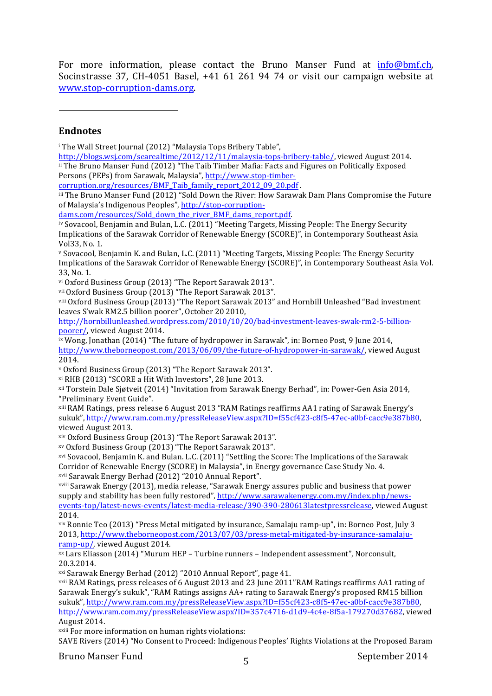For more information, please contact the Bruno Manser Fund at info@bmf.ch, Socinstrasse 37, CH-4051 Basel, +41 61 261 94 74 or visit our campaign website at www.stop-corruption-dams.org.

 

#### **Endnotes**

<sup>i</sup> The Wall Street Journal (2012) "Malaysia Tops Bribery Table",

http://blogs.wsj.com/searealtime/2012/12/11/malaysia-tops-bribery-table/, viewed August 2014. ii The Bruno Manser Fund (2012) "The Taib Timber Mafia: Facts and Figures on Politically Exposed Persons (PEPs) from Sarawak, Malaysia", http://www.stop-timber-

corruption.org/resources/BMF Taib family report 2012 09 20.pdf .

iii The Bruno Manser Fund (2012) "Sold Down the River: How Sarawak Dam Plans Compromise the Future of Malaysia's Indigenous Peoples", http://stop-corruption-

dams.com/resources/Sold\_down\_the\_river\_BMF\_dams\_report.pdf. 

iv Sovacool, Benjamin and Bulan, L.C. (2011) "Meeting Targets, Missing People: The Energy Security Implications of the Sarawak Corridor of Renewable Energy (SCORE)", in Contemporary Southeast Asia Vol33, No. 1.

v Sovacool, Benjamin K. and Bulan, L.C. (2011) "Meeting Targets, Missing People: The Energy Security Implications of the Sarawak Corridor of Renewable Energy (SCORE)", in Contemporary Southeast Asia Vol. 33, No. 1.

vi Oxford Business Group (2013) "The Report Sarawak 2013".

vii Oxford Business Group (2013) "The Report Sarawak 2013".

viii Oxford Business Group (2013) "The Report Sarawak 2013" and Hornbill Unleashed "Bad investment leaves S'wak RM2.5 billion poorer", October 20 2010,

http://hornbillunleashed.wordpress.com/2010/10/20/bad-investment-leaves-swak-rm2-5-billionpoorer/, viewed August 2014.

 $i$ <sup>x</sup> Wong, Jonathan (2014) "The future of hydropower in Sarawak", in: Borneo Post, 9 June 2014, http://www.theborneopost.com/2013/06/09/the-future-of-hydropower-in-sarawak/, viewed August 2014.

<sup>x</sup> Oxford Business Group (2013) "The Report Sarawak 2013".

 $x$ i RHB (2013) "SCORE a Hit With Investors", 28 June 2013.

<sup>xii</sup> Torstein Dale Sjøtveit (2014) "Invitation from Sarawak Energy Berhad", in: Power-Gen Asia 2014, "Preliminary Event Guide".

<sup>xiii</sup> RAM Ratings, press release 6 August 2013 "RAM Ratings reaffirms AA1 rating of Sarawak Energy's sukuk", http://www.ram.com.my/pressReleaseView.aspx?ID=f55cf423-c8f5-47ec-a0bf-cacc9e387b80, viewed August 2013.

xiv Oxford Business Group (2013) "The Report Sarawak 2013".

xv Oxford Business Group (2013) "The Report Sarawak 2013".

<sup>xvi</sup> Sovacool, Benjamin K. and Bulan. L.C. (2011) "Settling the Score: The Implications of the Sarawak Corridor of Renewable Energy (SCORE) in Malaysia", in Energy governance Case Study No. 4. xvii Sarawak Energy Berhad (2012) "2010 Annual Report".

xviii Sarawak Energy (2013), media release, "Sarawak Energy assures public and business that power supply and stability has been fully restored", http://www.sarawakenergy.com.my/index.php/newsevents-top/latest-news-events/latest-media-release/390-390-280613latestpressrelease, viewed August 2014.

 $x$ ix Ronnie Teo (2013) "Press Metal mitigated by insurance, Samalaju ramp-up", in: Borneo Post, July 3 2013, http://www.theborneopost.com/2013/07/03/press-metal-mitigated-by-insurance-samalajuramp-up/, viewed August 2014.

 $x<sub>x</sub>$  Lars Eliasson (2014) "Murum HEP – Turbine runners – Independent assessment", Norconsult, 20.3.2014.

<sup>xxi</sup> Sarawak Energy Berhad (2012) "2010 Annual Report", page 41.

xxii RAM Ratings, press releases of 6 August 2013 and 23 June 2011"RAM Ratings reaffirms AA1 rating of Sarawak Energy's sukuk", "RAM Ratings assigns AA+ rating to Sarawak Energy's proposed RM15 billion sukuk", http://www.ram.com.my/pressReleaseView.aspx?ID=f55cf423-c8f5-47ec-a0bf-cacc9e387b80, http://www.ram.com.my/pressReleaseView.aspx?ID=357c4716-d1d9-4c4e-8f5a-179270d37682, viewed August 2014.

xxiii For more information on human rights violations:

SAVE Rivers (2014) "No Consent to Proceed: Indigenous Peoples' Rights Violations at the Proposed Baram

Bruno Manser Fund September 2014 <sup>5</sup>